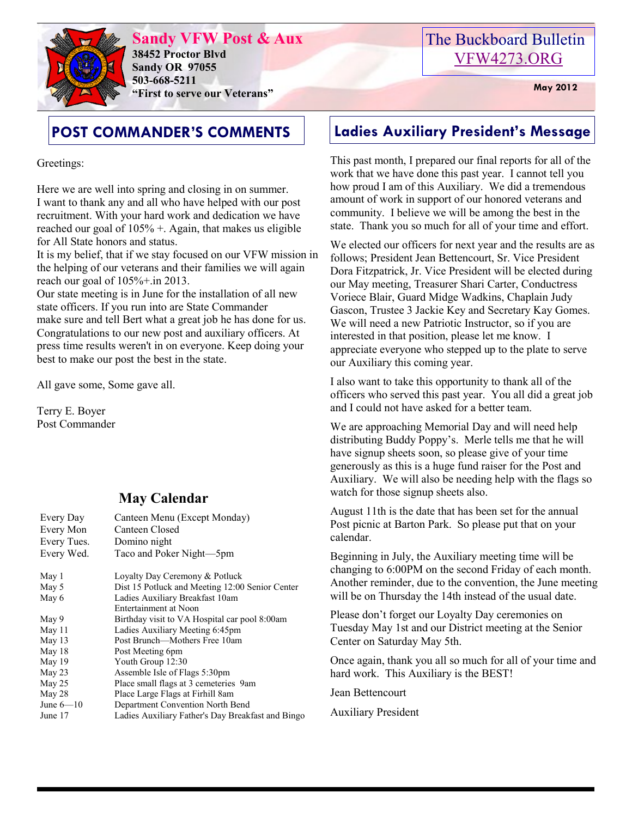

**Sandy VFW Post & Aux 38452 Proctor Blvd Sandy OR 97055 503-668-5211 "First to serve our Veterans" May 2012** 

Greetings:

Here we are well into spring and closing in on summer. I want to thank any and all who have helped with our post recruitment. With your hard work and dedication we have reached our goal of  $105\%$  +. Again, that makes us eligible for All State honors and status.

It is my belief, that if we stay focused on our VFW mission in the helping of our veterans and their families we will again reach our goal of  $105\% + \text{in } 2013$ .

Our state meeting is in June for the installation of all new state officers. If you run into are State Commander make sure and tell Bert what a great job he has done for us. Congratulations to our new post and auxiliary officers. At press time results weren't in on everyone. Keep doing your best to make our post the best in the state.

All gave some, Some gave all.

Terry E. Boyer Post Commander

### **May Calendar**

| Every Day   | Canteen Menu (Except Monday)                      |
|-------------|---------------------------------------------------|
| Every Mon   | Canteen Closed                                    |
| Every Tues. | Domino night                                      |
| Every Wed.  | Taco and Poker Night-5pm                          |
| May 1       | Loyalty Day Ceremony & Potluck                    |
| May 5       | Dist 15 Potluck and Meeting 12:00 Senior Center   |
| May 6       | Ladies Auxiliary Breakfast 10am                   |
|             | Entertainment at Noon                             |
| May 9       | Birthday visit to VA Hospital car pool 8:00am     |
| May 11      | Ladies Auxiliary Meeting 6:45pm                   |
| May 13      | Post Brunch—Mothers Free 10am                     |
| May 18      | Post Meeting 6pm                                  |
| May 19      | Youth Group 12:30                                 |
| May 23      | Assemble Isle of Flags 5:30pm                     |
| May 25      | Place small flags at 3 cemeteries 9am             |
| May 28      | Place Large Flags at Firhill 8am                  |
| June $6-10$ | Department Convention North Bend                  |
| June 17     | Ladies Auxiliary Father's Day Breakfast and Bingo |

## The Buckboard Bulletin [VFW4273.ORG](http://vfw4273.org/)

# **POST COMMANDER'S COMMENTS Ladies Auxiliary President's Message**

This past month, I prepared our final reports for all of the work that we have done this past year. I cannot tell you how proud I am of this Auxiliary. We did a tremendous amount of work in support of our honored veterans and community. I believe we will be among the best in the state. Thank you so much for all of your time and effort.

We elected our officers for next year and the results are as follows; President Jean Bettencourt, Sr. Vice President Dora Fitzpatrick, Jr. Vice President will be elected during our May meeting, Treasurer Shari Carter, Conductress Voriece Blair, Guard Midge Wadkins, Chaplain Judy Gascon, Trustee 3 Jackie Key and Secretary Kay Gomes. We will need a new Patriotic Instructor, so if you are interested in that position, please let me know. I appreciate everyone who stepped up to the plate to serve our Auxiliary this coming year.

I also want to take this opportunity to thank all of the officers who served this past year. You all did a great job and I could not have asked for a better team.

We are approaching Memorial Dav and will need help distributing Buddy Poppy's. Merle tells me that he will have signup sheets soon, so please give of your time generously as this is a huge fund raiser for the Post and Auxiliary. We will also be needing help with the flags so watch for those signup sheets also.

August 11th is the date that has been set for the annual Post picnic at Barton Park. So please put that on your calendar.

Beginning in July, the Auxiliary meeting time will be changing to 6:00PM on the second Friday of each month. Another reminder, due to the convention, the June meeting will be on Thursday the 14th instead of the usual date.

Please don't forget our Loyalty Day ceremonies on Tuesday May 1st and our District meeting at the Senior Center on Saturday May 5th.

Once again, thank you all so much for all of your time and hard work. This Auxiliary is the BEST!

Jean Bettencourt

Auxiliary President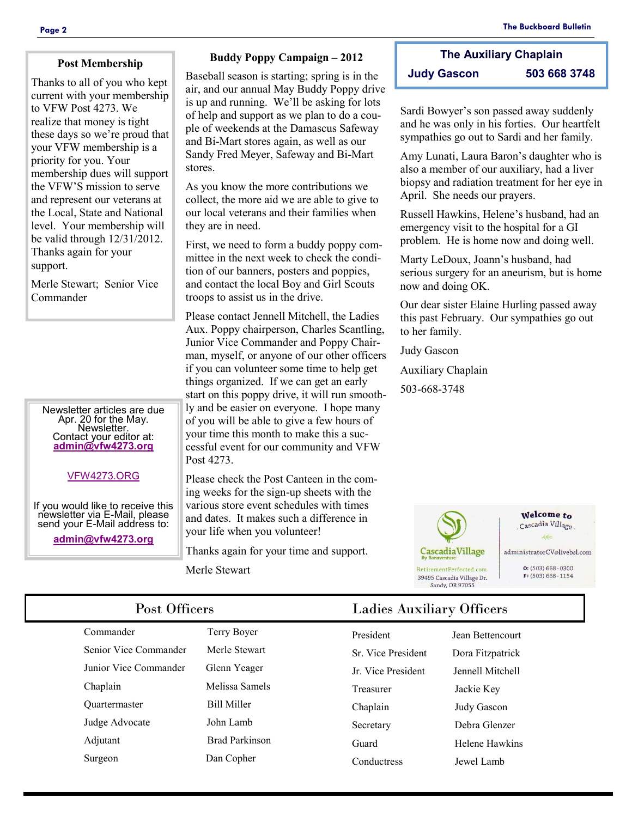#### **Post Membership**

Thanks to all of you who kept current with your membership to VFW Post 4273. We realize that money is tight these days so we're proud that your VFW membership is a priority for you. Your membership dues will support the VFW'S mission to serve and represent our veterans at the Local, State and National level. Your membership will be valid through 12/31/2012. Thanks again for your support.

Merle Stewart; Senior Vice Commander

Newsletter articles are due Apr. 20 for the May. Newsletter. Contact your editor at: **[admin@vfw4273.org](mailto:admin@vfw4273.org)**

#### [VFW4273.ORG](http://vfw4273.org/)

If you would like to receive this newsletter via E-Mail, please send your E-Mail address to:

**[admin@vfw4273.org](mailto:admin@vfw4273.org)**

#### **Buddy Poppy Campaign – 2012**

Baseball season is starting; spring is in the air, and our annual May Buddy Poppy drive is up and running. We'll be asking for lots of help and support as we plan to do a couple of weekends at the Damascus Safeway and Bi-Mart stores again, as well as our Sandy Fred Meyer, Safeway and Bi-Mart stores.

As you know the more contributions we collect, the more aid we are able to give to our local veterans and their families when they are in need.

First, we need to form a buddy poppy committee in the next week to check the condition of our banners, posters and poppies, and contact the local Boy and Girl Scouts troops to assist us in the drive.

Please contact Jennell Mitchell, the Ladies Aux. Poppy chairperson, Charles Scantling, Junior Vice Commander and Poppy Chairman, myself, or anyone of our other officers if you can volunteer some time to help get things organized. If we can get an early start on this poppy drive, it will run smoothly and be easier on everyone. I hope many of you will be able to give a few hours of your time this month to make this a successful event for our community and VFW Post 4273.

Please check the Post Canteen in the coming weeks for the sign-up sheets with the various store event schedules with times and dates. It makes such a difference in your life when you volunteer!

Thanks again for your time and support.

Merle Stewart

### **The Auxiliary Chaplain Judy Gascon 503 668 3748**

Sardi Bowyer's son passed away suddenly and he was only in his forties. Our heartfelt sympathies go out to Sardi and her family.

Amy Lunati, Laura Baron's daughter who is also a member of our auxiliary, had a liver biopsy and radiation treatment for her eye in April. She needs our prayers.

Russell Hawkins, Helene's husband, had an emergency visit to the hospital for a GI problem. He is home now and doing well.

Marty LeDoux, Joann's husband, had serious surgery for an aneurism, but is home now and doing OK.

Our dear sister Elaine Hurling passed away this past February. Our sympathies go out to her family.

Judy Gascon

Auxiliary Chaplain

503-668-3748



Welcome to Cascadia Village  $4e$ 

administratorCV@livebsl.com

 $Q: (503) 668 - 0300$  $F: (503) 668 - 1154$ 

Senior Vice Commander Merle Stewart Junior Vice Commander Glenn Yeager Chaplain Melissa Samels Quartermaster Bill Miller Judge Advocate John Lamb Adjutant Brad Parkinson Surgeon Dan Copher

Commander Terry Boyer

### Post Officers Ladies Auxiliary Officers

| President                | Jean Bettencourt |
|--------------------------|------------------|
| <b>Sr</b> Vice President | Dora Fitzpatrick |
| <b>Ir</b> Vice President | Jennell Mitchell |
| Treasurer                | Jackie Key       |
| Chaplain                 | Judy Gascon      |
| Secretary                | Debra Glenzer    |
| Guard                    | Helene Hawkins   |
| Conductress              | Jewel Lamb       |
|                          |                  |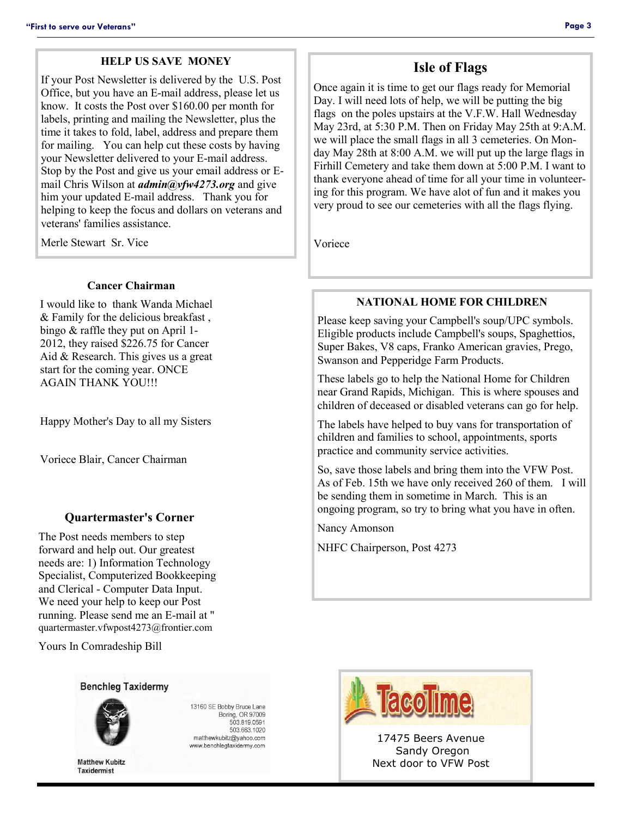#### **HELP US SAVE MONEY**

If your Post Newsletter is delivered by the U.S. Post Office, but you have an E-mail address, please let us know. It costs the Post over \$160.00 per month for labels, printing and mailing the Newsletter, plus the time it takes to fold, label, address and prepare them for mailing. You can help cut these costs by having your Newsletter delivered to your E-mail address. Stop by the Post and give us your email address or Email Chris Wilson at *admin@vfw4273.org* and give him your updated E-mail address. Thank you for helping to keep the focus and dollars on veterans and veterans' families assistance.

Merle Stewart Sr. Vice

#### **Cancer Chairman**

I would like to thank Wanda Michael & Family for the delicious breakfast , bingo & raffle they put on April 1- 2012, they raised \$226.75 for Cancer Aid & Research. This gives us a great start for the coming year. ONCE AGAIN THANK YOU!!!

Happy Mother's Day to all my Sisters

Voriece Blair, Cancer Chairman

#### **Quartermaster's Corner**

The Post needs members to step forward and help out. Our greatest needs are: 1) Information Technology Specialist, Computerized Bookkeeping and Clerical - Computer Data Input. We need your help to keep our Post running. Please send me an E-mail at " quartermaster.vfwpost4273@frontier.com

Yours In Comradeship Bill

#### **Benchleg Taxidermy**



13160 SE Bobby Bruce Lane Boring, OR 97009 503.819.0591 503.663.1020 matthewkubitz@yahoo.com www.benchlegtaxidermy.com

**Matthew Kubitz Taxidermist** 

**Isle of Flags**

Once again it is time to get our flags ready for Memorial Day. I will need lots of help, we will be putting the big flags on the poles upstairs at the V.F.W. Hall Wednesday May 23rd, at 5:30 P.M. Then on Friday May 25th at 9:A.M. we will place the small flags in all 3 cemeteries. On Monday May 28th at 8:00 A.M. we will put up the large flags in Firhill Cemetery and take them down at 5:00 P.M. I want to thank everyone ahead of time for all your time in volunteering for this program. We have alot of fun and it makes you very proud to see our cemeteries with all the flags flying.

Voriece

#### **NATIONAL HOME FOR CHILDREN**

Please keep saving your Campbell's soup/UPC symbols. Eligible products include Campbell's soups, Spaghettios, Super Bakes, V8 caps, Franko American gravies, Prego, Swanson and Pepperidge Farm Products.

These labels go to help the National Home for Children near Grand Rapids, Michigan. This is where spouses and children of deceased or disabled veterans can go for help.

The labels have helped to buy vans for transportation of children and families to school, appointments, sports practice and community service activities.

So, save those labels and bring them into the VFW Post. As of Feb. 15th we have only received 260 of them. I will be sending them in sometime in March. This is an ongoing program, so try to bring what you have in often.

Nancy Amonson

NHFC Chairperson, Post 4273



17475 Beers Avenue Sandy Oregon Next door to VFW Post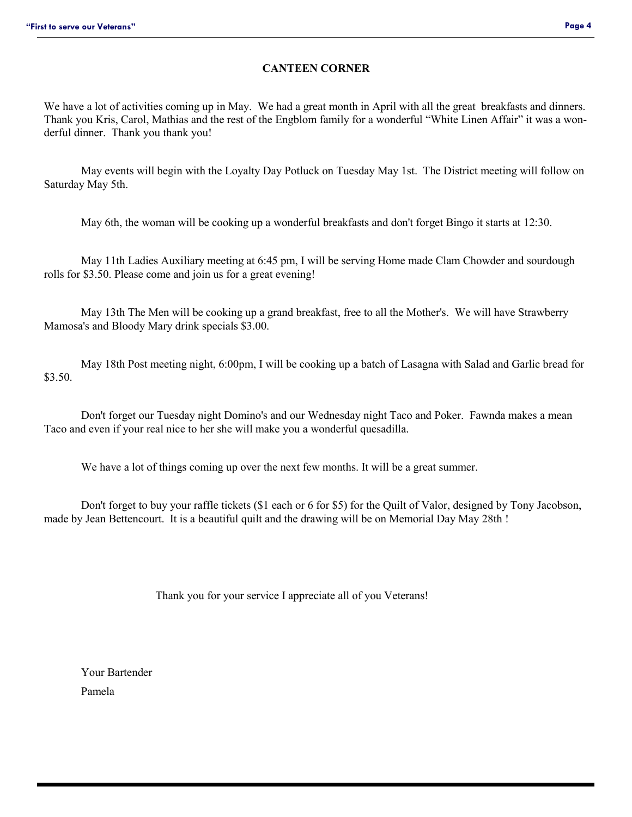### **CANTEEN CORNER**

We have a lot of activities coming up in May. We had a great month in April with all the great breakfasts and dinners. Thank you Kris, Carol, Mathias and the rest of the Engblom family for a wonderful "White Linen Affair" it was a wonderful dinner. Thank you thank you!

May events will begin with the Loyalty Day Potluck on Tuesday May 1st. The District meeting will follow on Saturday May 5th.

May 6th, the woman will be cooking up a wonderful breakfasts and don't forget Bingo it starts at 12:30.

May 11th Ladies Auxiliary meeting at 6:45 pm, I will be serving Home made Clam Chowder and sourdough rolls for \$3.50. Please come and join us for a great evening!

May 13th The Men will be cooking up a grand breakfast, free to all the Mother's. We will have Strawberry Mamosa's and Bloody Mary drink specials \$3.00.

May 18th Post meeting night, 6:00pm, I will be cooking up a batch of Lasagna with Salad and Garlic bread for \$3.50.

Don't forget our Tuesday night Domino's and our Wednesday night Taco and Poker. Fawnda makes a mean Taco and even if your real nice to her she will make you a wonderful quesadilla.

We have a lot of things coming up over the next few months. It will be a great summer.

Don't forget to buy your raffle tickets (\$1 each or 6 for \$5) for the Quilt of Valor, designed by Tony Jacobson, made by Jean Bettencourt. It is a beautiful quilt and the drawing will be on Memorial Day May 28th !

Thank you for your service I appreciate all of you Veterans!

Your Bartender Pamela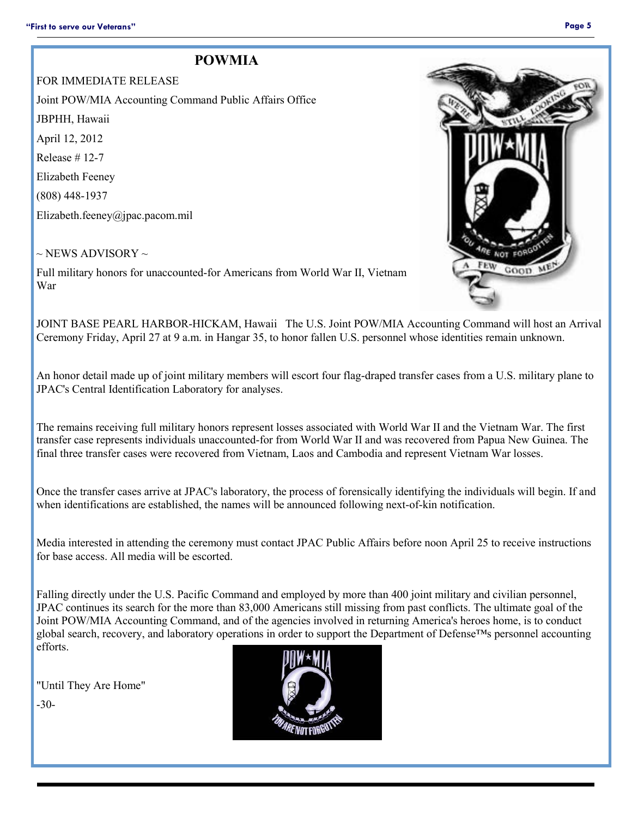### **POWMIA**

FOR IMMEDIATE RELEASE Joint POW/MIA Accounting Command Public Affairs Office JBPHH, Hawaii April 12, 2012 Release # 12-7 Elizabeth Feeney (808) 448-1937 Elizabeth.feeney@jpac.pacom.mil

 $\sim$  NEWS ADVISORY  $\sim$ 

Full military honors for unaccounted-for Americans from World War II, Vietnam War

JOINT BASE PEARL HARBOR-HICKAM, Hawaii The U.S. Joint POW/MIA Accounting Command will host an Arrival Ceremony Friday, April 27 at 9 a.m. in Hangar 35, to honor fallen U.S. personnel whose identities remain unknown.

An honor detail made up of joint military members will escort four flag-draped transfer cases from a U.S. military plane to JPAC's Central Identification Laboratory for analyses.

The remains receiving full military honors represent losses associated with World War II and the Vietnam War. The first transfer case represents individuals unaccounted-for from World War II and was recovered from Papua New Guinea. The final three transfer cases were recovered from Vietnam, Laos and Cambodia and represent Vietnam War losses.

Once the transfer cases arrive at JPAC's laboratory, the process of forensically identifying the individuals will begin. If and when identifications are established, the names will be announced following next-of-kin notification.

Media interested in attending the ceremony must contact JPAC Public Affairs before noon April 25 to receive instructions for base access. All media will be escorted.

Falling directly under the U.S. Pacific Command and employed by more than 400 joint military and civilian personnel, JPAC continues its search for the more than 83,000 Americans still missing from past conflicts. The ultimate goal of the Joint POW/MIA Accounting Command, and of the agencies involved in returning America's heroes home, is to conduct global search, recovery, and laboratory operations in order to support the Department of Defense™s personnel accounting efforts.

"Until They Are Home"

-30-